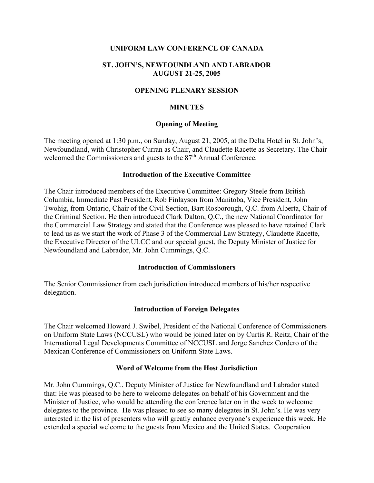## UNIFORM LAW CONFERENCE OF CANADA

## ST. JOHN'S, NEWFOUNDLAND AND LABRADOR AUGUST 21-25, 2005

## OPENING PLENARY SESSION

### MINUTES

### Opening of Meeting

The meeting opened at 1:30 p.m., on Sunday, August 21, 2005, at the Delta Hotel in St. John's, Newfoundland, with Christopher Curran as Chair, and Claudette Racette as Secretary. The Chair welcomed the Commissioners and guests to the 87<sup>th</sup> Annual Conference.

### Introduction of the Executive Committee

The Chair introduced members of the Executive Committee: Gregory Steele from British Columbia, Immediate Past President, Rob Finlayson from Manitoba, Vice President, John Twohig, from Ontario, Chair of the Civil Section, Bart Rosborough, Q.C. from Alberta, Chair of the Criminal Section. He then introduced Clark Dalton, Q.C., the new National Coordinator for the Commercial Law Strategy and stated that the Conference was pleased to have retained Clark to lead us as we start the work of Phase 3 of the Commercial Law Strategy, Claudette Racette, the Executive Director of the ULCC and our special guest, the Deputy Minister of Justice for Newfoundland and Labrador, Mr. John Cummings, Q.C.

### Introduction of Commissioners

The Senior Commissioner from each jurisdiction introduced members of his/her respective delegation.

### Introduction of Foreign Delegates

The Chair welcomed Howard J. Swibel, President of the National Conference of Commissioners on Uniform State Laws (NCCUSL) who would be joined later on by Curtis R. Reitz, Chair of the International Legal Developments Committee of NCCUSL and Jorge Sanchez Cordero of the Mexican Conference of Commissioners on Uniform State Laws.

### Word of Welcome from the Host Jurisdiction

Mr. John Cummings, Q.C., Deputy Minister of Justice for Newfoundland and Labrador stated that: He was pleased to be here to welcome delegates on behalf of his Government and the Minister of Justice, who would be attending the conference later on in the week to welcome delegates to the province. He was pleased to see so many delegates in St. John's. He was very interested in the list of presenters who will greatly enhance everyone's experience this week. He extended a special welcome to the guests from Mexico and the United States. Cooperation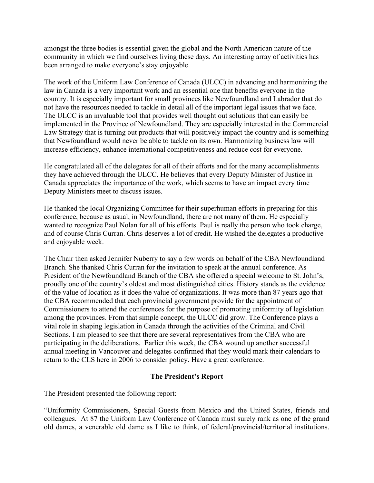amongst the three bodies is essential given the global and the North American nature of the community in which we find ourselves living these days. An interesting array of activities has been arranged to make everyone's stay enjoyable.

The work of the Uniform Law Conference of Canada (ULCC) in advancing and harmonizing the law in Canada is a very important work and an essential one that benefits everyone in the country. It is especially important for small provinces like Newfoundland and Labrador that do not have the resources needed to tackle in detail all of the important legal issues that we face. The ULCC is an invaluable tool that provides well thought out solutions that can easily be implemented in the Province of Newfoundland. They are especially interested in the Commercial Law Strategy that is turning out products that will positively impact the country and is something that Newfoundland would never be able to tackle on its own. Harmonizing business law will increase efficiency, enhance international competitiveness and reduce cost for everyone.

He congratulated all of the delegates for all of their efforts and for the many accomplishments they have achieved through the ULCC. He believes that every Deputy Minister of Justice in Canada appreciates the importance of the work, which seems to have an impact every time Deputy Ministers meet to discuss issues.

He thanked the local Organizing Committee for their superhuman efforts in preparing for this conference, because as usual, in Newfoundland, there are not many of them. He especially wanted to recognize Paul Nolan for all of his efforts. Paul is really the person who took charge, and of course Chris Curran. Chris deserves a lot of credit. He wished the delegates a productive and enjoyable week.

The Chair then asked Jennifer Nuberry to say a few words on behalf of the CBA Newfoundland Branch. She thanked Chris Curran for the invitation to speak at the annual conference. As President of the Newfoundland Branch of the CBA she offered a special welcome to St. John's, proudly one of the country's oldest and most distinguished cities. History stands as the evidence of the value of location as it does the value of organizations. It was more than 87 years ago that the CBA recommended that each provincial government provide for the appointment of Commissioners to attend the conferences for the purpose of promoting uniformity of legislation among the provinces. From that simple concept, the ULCC did grow. The Conference plays a vital role in shaping legislation in Canada through the activities of the Criminal and Civil Sections. I am pleased to see that there are several representatives from the CBA who are participating in the deliberations. Earlier this week, the CBA wound up another successful annual meeting in Vancouver and delegates confirmed that they would mark their calendars to return to the CLS here in 2006 to consider policy. Have a great conference.

## The President's Report

The President presented the following report:

"Uniformity Commissioners, Special Guests from Mexico and the United States, friends and colleagues. At 87 the Uniform Law Conference of Canada must surely rank as one of the grand old dames, a venerable old dame as I like to think, of federal/provincial/territorial institutions.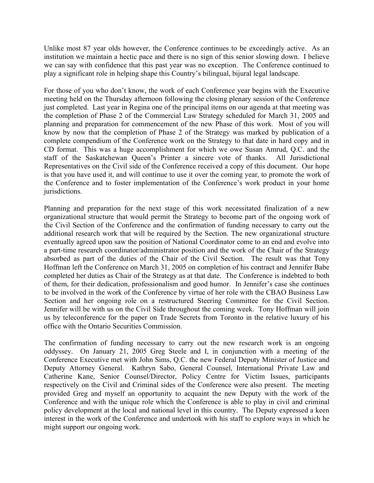Unlike most 87 year olds however, the Conference continues to be exceedingly active. As an institution we maintain a hectic pace and there is no sign of this senior slowing down. I believe we can say with confidence that this past year was no exception. The Conference continued to play a significant role in helping shape this Country's bilingual, bijural legal landscape.

For those of you who don't know, the work of each Conference year begins with the Executive meeting held on the Thursday afternoon following the closing plenary session of the Conference just completed. Last year in Regina one of the principal items on our agenda at that meeting was the completion of Phase 2 of the Commercial Law Strategy scheduled for March 31, 2005 and planning and preparation for commencement of the new Phase of this work. Most of you will know by now that the completion of Phase 2 of the Strategy was marked by publication of a complete compendium of the Conference work on the Strategy to that date in hard copy and in CD format. This was a huge accomplishment for which we owe Susan Amrud, Q.C. and the staff of the Saskatchewan Queen's Printer a sincere vote of thanks. All Jurisdictional Representatives on the Civil side of the Conference received a copy of this document. Our hope is that you have used it, and will continue to use it over the coming year, to promote the work of the Conference and to foster implementation of the Conference's work product in your home jurisdictions.

Planning and preparation for the next stage of this work necessitated finalization of a new organizational structure that would permit the Strategy to become part of the ongoing work of the Civil Section of the Conference and the confirmation of funding necessary to carry out the additional research work that will be required by the Section. The new organizational structure eventually agreed upon saw the position of National Coordinator come to an end and evolve into a part-time research coordinator/administrator position and the work of the Chair of the Strategy absorbed as part of the duties of the Chair of the Civil Section. The result was that Tony Hoffman left the Conference on March 31, 2005 on completion of his contract and Jennifer Babe completed her duties as Chair of the Strategy as at that date. The Conference is indebted to both of them, for their dedication, professionalism and good humor. In Jennifer's case she continues to be involved in the work of the Conference by virtue of her role with the CBAO Business Law Section and her ongoing role on a restructured Steering Committee for the Civil Section. Jennifer will be with us on the Civil Side throughout the coming week. Tony Hoffman will join us by teleconference for the paper on Trade Secrets from Toronto in the relative luxury of his office with the Ontario Securities Commission.

The confirmation of funding necessary to carry out the new research work is an ongoing oddyssey. On January 21, 2005 Greg Steele and I, in conjunction with a meeting of the Conference Executive met with John Sims, Q.C. the new Federal Deputy Minister of Justice and Deputy Attorney General. Kathryn Sabo, General Counsel, International Private Law and Catherine Kane, Senior Counsel/Director, Policy Centre for Victim Issues, participants respectively on the Civil and Criminal sides of the Conference were also present. The meeting provided Greg and myself an opportunity to acquaint the new Deputy with the work of the Conference and with the unique role which the Conference is able to play in civil and criminal policy development at the local and national level in this country. The Deputy expressed a keen interest in the work of the Conference and undertook with his staff to explore ways in which he might support our ongoing work.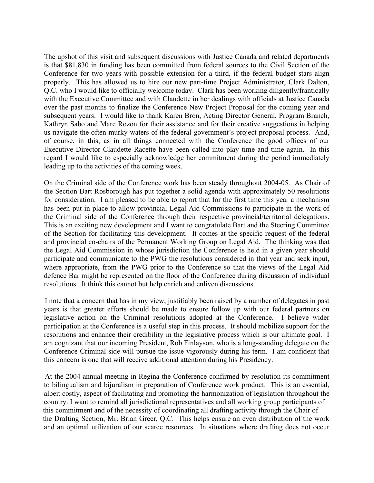The upshot of this visit and subsequent discussions with Justice Canada and related departments is that \$81,830 in funding has been committed from federal sources to the Civil Section of the Conference for two years with possible extension for a third, if the federal budget stars align properly. This has allowed us to hire our new part-time Project Administrator, Clark Dalton, Q.C. who I would like to officially welcome today. Clark has been working diligently/frantically with the Executive Committee and with Claudette in her dealings with officials at Justice Canada over the past months to finalize the Conference New Project Proposal for the coming year and subsequent years. I would like to thank Karen Bron, Acting Director General, Program Branch, Kathryn Sabo and Marc Rozon for their assistance and for their creative suggestions in helping us navigate the often murky waters of the federal government's project proposal process. And, of course, in this, as in all things connected with the Conference the good offices of our Executive Director Claudette Racette have been called into play time and time again. In this regard I would like to especially acknowledge her commitment during the period immediately leading up to the activities of the coming week.

On the Criminal side of the Conference work has been steady throughout 2004-05. As Chair of the Section Bart Rosborough has put together a solid agenda with approximately 50 resolutions for consideration. I am pleased to be able to report that for the first time this year a mechanism has been put in place to allow provincial Legal Aid Commissions to participate in the work of the Criminal side of the Conference through their respective provincial/territorial delegations. This is an exciting new development and I want to congratulate Bart and the Steering Committee of the Section for facilitating this development. It comes at the specific request of the federal and provincial co-chairs of the Permanent Working Group on Legal Aid. The thinking was that the Legal Aid Commission in whose jurisdiction the Conference is held in a given year should participate and communicate to the PWG the resolutions considered in that year and seek input, where appropriate, from the PWG prior to the Conference so that the views of the Legal Aid defence Bar might be represented on the floor of the Conference during discussion of individual resolutions. It think this cannot but help enrich and enliven discussions.

 I note that a concern that has in my view, justifiably been raised by a number of delegates in past years is that greater efforts should be made to ensure follow up with our federal partners on legislative action on the Criminal resolutions adopted at the Conference. I believe wider participation at the Conference is a useful step in this process. It should mobilize support for the resolutions and enhance their credibility in the legislative process which is our ultimate goal. I am cognizant that our incoming President, Rob Finlayson, who is a long-standing delegate on the Conference Criminal side will pursue the issue vigorously during his term. I am confident that this concern is one that will receive additional attention during his Presidency.

 At the 2004 annual meeting in Regina the Conference confirmed by resolution its commitment to bilingualism and bijuralism in preparation of Conference work product. This is an essential, albeit costly, aspect of facilitating and promoting the harmonization of legislation throughout the country. I want to remind all jurisdictional representatives and all working group participants of this commitment and of the necessity of coordinating all drafting activity through the Chair of the Drafting Section, Mr. Brian Greer, Q.C. This helps ensure an even distribution of the work and an optimal utilization of our scarce resources. In situations where drafting does not occur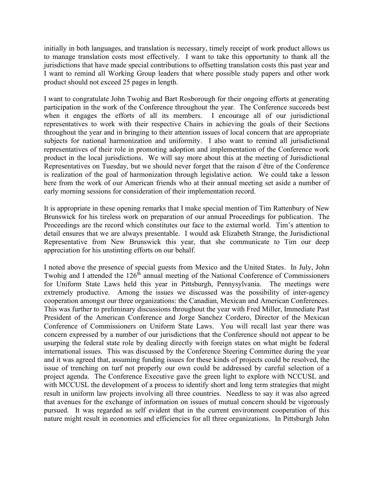initially in both languages, and translation is necessary, timely receipt of work product allows us to manage translation costs most effectively. I want to take this opportunity to thank all the jurisdictions that have made special contributions to offsetting translation costs this past year and I want to remind all Working Group leaders that where possible study papers and other work product should not exceed 25 pages in length.

I want to congratulate John Twohig and Bart Rosborough for their ongoing efforts at generating participation in the work of the Conference throughout the year. The Conference succeeds best when it engages the efforts of all its members. I encourage all of our jurisdictional representatives to work with their respective Chairs in achieving the goals of their Sections throughout the year and in bringing to their attention issues of local concern that are appropriate subjects for national harmonization and uniformity. I also want to remind all jurisdictional representatives of their role in promoting adoption and implementation of the Conference work product in the local jurisdictions. We will say more about this at the meeting of Jurisdictional Representatives on Tuesday, but we should never forget that the raison d`être of the Conference is realization of the goal of harmonization through legislative action. We could take a lesson here from the work of our American friends who at their annual meeting set aside a number of early morning sessions for consideration of their implementation record.

It is appropriate in these opening remarks that I make special mention of Tim Rattenbury of New Brunswick for his tireless work on preparation of our annual Proceedings for publication. The Proceedings are the record which constitutes our face to the external world. Tim's attention to detail ensures that we are always presentable. I would ask Elizabeth Strange, the Jurisdictional Representative from New Brunswick this year, that she communicate to Tim our deep appreciation for his unstinting efforts on our behalf.

I noted above the presence of special guests from Mexico and the United States. In July, John Twohig and I attended the  $126<sup>th</sup>$  annual meeting of the National Conference of Commissioners for Uniform State Laws held this year in Pittsburgh, Pennysylvania. The meetings were extremely productive. Among the issues we discussed was the possibility of inter-agency cooperation amongst our three organizations: the Canadian, Mexican and American Conferences. This was further to preliminary discussions throughout the year with Fred Miller, Immediate Past President of the American Conference and Jorge Sanchez Cordero, Director of the Mexican Conference of Commissioners on Uniform State Laws. You will recall last year there was concern expressed by a number of our jurisdictions that the Conference should not appear to be usurping the federal state role by dealing directly with foreign states on what might be federal international issues. This was discussed by the Conference Steering Committee during the year and it was agreed that, assuming funding issues for these kinds of projects could be resolved, the issue of trenching on turf not properly our own could be addressed by careful selection of a project agenda. The Conference Executive gave the green light to explore with NCCUSL and with MCCUSL the development of a process to identify short and long term strategies that might result in uniform law projects involving all three countries. Needless to say it was also agreed that avenues for the exchange of information on issues of mutual concern should be vigorously pursued. It was regarded as self evident that in the current environment cooperation of this nature might result in economies and efficiencies for all three organizations. In Pittsburgh John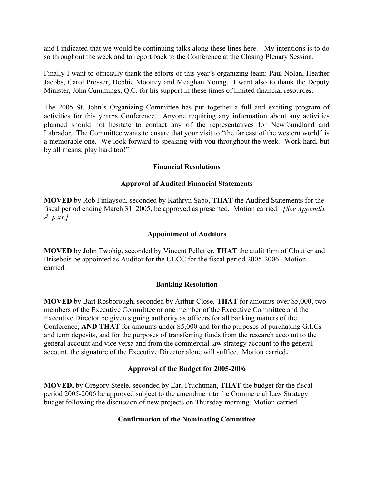and I indicated that we would be continuing talks along these lines here. My intentions is to do so throughout the week and to report back to the Conference at the Closing Plenary Session.

Finally I want to officially thank the efforts of this year's organizing team: Paul Nolan, Heather Jacobs, Carol Prosser, Debbie Mootrey and Meaghan Young. I want also to thank the Deputy Minister, John Cummings, Q.C. for his support in these times of limited financial resources.

The 2005 St. John's Organizing Committee has put together a full and exciting program of activities for this year=s Conference. Anyone requiring any information about any activities planned should not hesitate to contact any of the representatives for Newfoundland and Labrador. The Committee wants to ensure that your visit to "the far east of the western world" is a memorable one. We look forward to speaking with you throughout the week. Work hard, but by all means, play hard too!"

## Financial Resolutions

## Approval of Audited Financial Statements

MOVED by Rob Finlayson, seconded by Kathryn Sabo, THAT the Audited Statements for the fiscal period ending March 31, 2005, be approved as presented. Motion carried. *[See Appendix*]  $A, p.xx.$ 

## Appointment of Auditors

MOVED by John Twohig, seconded by Vincent Pelletier, THAT the audit firm of Cloutier and Brisebois be appointed as Auditor for the ULCC for the fiscal period 2005-2006. Motion carried.

## Banking Resolution

MOVED by Bart Rosborough, seconded by Arthur Close, THAT for amounts over \$5,000, two members of the Executive Committee or one member of the Executive Committee and the Executive Director be given signing authority as officers for all banking matters of the Conference, AND THAT for amounts under \$5,000 and for the purposes of purchasing G.I.Cs and term deposits, and for the purposes of transferring funds from the research account to the general account and vice versa and from the commercial law strategy account to the general account, the signature of the Executive Director alone will suffice. Motion carried.

# Approval of the Budget for 2005-2006

MOVED, by Gregory Steele, seconded by Earl Fruchtman, THAT the budget for the fiscal period 2005-2006 be approved subject to the amendment to the Commercial Law Strategy budget following the discussion of new projects on Thursday morning. Motion carried.

# Confirmation of the Nominating Committee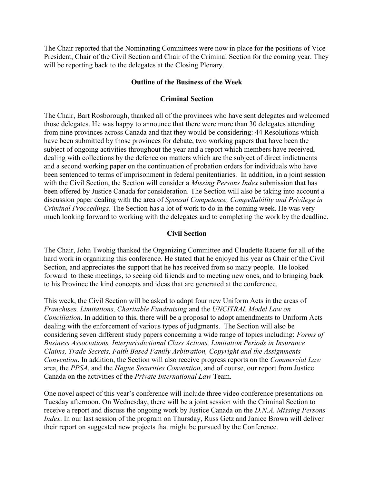The Chair reported that the Nominating Committees were now in place for the positions of Vice President, Chair of the Civil Section and Chair of the Criminal Section for the coming year. They will be reporting back to the delegates at the Closing Plenary.

## Outline of the Business of the Week

## Criminal Section

The Chair, Bart Rosborough, thanked all of the provinces who have sent delegates and welcomed those delegates. He was happy to announce that there were more than 30 delegates attending from nine provinces across Canada and that they would be considering: 44 Resolutions which have been submitted by those provinces for debate, two working papers that have been the subject of ongoing activities throughout the year and a report which members have received, dealing with collections by the defence on matters which are the subject of direct indictments and a second working paper on the continuation of probation orders for individuals who have been sentenced to terms of imprisonment in federal penitentiaries. In addition, in a joint session with the Civil Section, the Section will consider a *Missing Persons Index* submission that has been offered by Justice Canada for consideration. The Section will also be taking into account a discussion paper dealing with the area of Spousal Competence, Compellability and Privilege in Criminal Proceedings. The Section has a lot of work to do in the coming week. He was very much looking forward to working with the delegates and to completing the work by the deadline.

## Civil Section

The Chair, John Twohig thanked the Organizing Committee and Claudette Racette for all of the hard work in organizing this conference. He stated that he enjoyed his year as Chair of the Civil Section, and appreciates the support that he has received from so many people. He looked forward to these meetings, to seeing old friends and to meeting new ones, and to bringing back to his Province the kind concepts and ideas that are generated at the conference.

This week, the Civil Section will be asked to adopt four new Uniform Acts in the areas of Franchises, Limitations, Charitable Fundraising and the UNCITRAL Model Law on Conciliation. In addition to this, there will be a proposal to adopt amendments to Uniform Acts dealing with the enforcement of various types of judgments. The Section will also be considering seven different study papers concerning a wide range of topics including: Forms of Business Associations, Interjurisdictional Class Actions, Limitation Periods in Insurance Claims, Trade Secrets, Faith Based Family Arbitration, Copyright and the Assignments Convention. In addition, the Section will also receive progress reports on the Commercial Law area, the PPSA, and the Hague Securities Convention, and of course, our report from Justice Canada on the activities of the Private International Law Team.

One novel aspect of this year's conference will include three video conference presentations on Tuesday afternoon. On Wednesday, there will be a joint session with the Criminal Section to receive a report and discuss the ongoing work by Justice Canada on the D.N.A. Missing Persons Index. In our last session of the program on Thursday, Russ Getz and Janice Brown will deliver their report on suggested new projects that might be pursued by the Conference.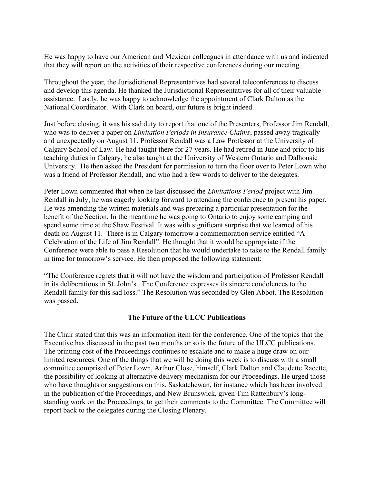He was happy to have our American and Mexican colleagues in attendance with us and indicated that they will report on the activities of their respective conferences during our meeting.

Throughout the year, the Jurisdictional Representatives had several teleconferences to discuss and develop this agenda. He thanked the Jurisdictional Representatives for all of their valuable assistance. Lastly, he was happy to acknowledge the appointment of Clark Dalton as the National Coordinator. With Clark on board, our future is bright indeed.

Just before closing, it was his sad duty to report that one of the Presenters, Professor Jim Rendall, who was to deliver a paper on *Limitation Periods in Insurance Claims*, passed away tragically and unexpectedly on August 11. Professor Rendall was a Law Professor at the University of Calgary School of Law. He had taught there for 27 years. He had retired in June and prior to his teaching duties in Calgary, he also taught at the University of Western Ontario and Dalhousie University. He then asked the President for permission to turn the floor over to Peter Lown who was a friend of Professor Rendall, and who had a few words to deliver to the delegates.

Peter Lown commented that when he last discussed the Limitations Period project with Jim Rendall in July, he was eagerly looking forward to attending the conference to present his paper. He was amending the written materials and was preparing a particular presentation for the benefit of the Section. In the meantime he was going to Ontario to enjoy some camping and spend some time at the Shaw Festival. It was with significant surprise that we learned of his death on August 11. There is in Calgary tomorrow a commemoration service entitled "A Celebration of the Life of Jim Rendall". He thought that it would be appropriate if the Conference were able to pass a Resolution that he would undertake to take to the Rendall family in time for tomorrow's service. He then proposed the following statement:

"The Conference regrets that it will not have the wisdom and participation of Professor Rendall in its deliberations in St. John's. The Conference expresses its sincere condolences to the Rendall family for this sad loss." The Resolution was seconded by Glen Abbot. The Resolution was passed.

## The Future of the ULCC Publications

The Chair stated that this was an information item for the conference. One of the topics that the Executive has discussed in the past two months or so is the future of the ULCC publications. The printing cost of the Proceedings continues to escalate and to make a huge draw on our limited resources. One of the things that we will be doing this week is to discuss with a small committee comprised of Peter Lown, Arthur Close, himself, Clark Dalton and Claudette Racette, the possibility of looking at alternative delivery mechanism for our Proceedings. He urged those who have thoughts or suggestions on this, Saskatchewan, for instance which has been involved in the publication of the Proceedings, and New Brunswick, given Tim Rattenbury's longstanding work on the Proceedings, to get their comments to the Committee. The Committee will report back to the delegates during the Closing Plenary.